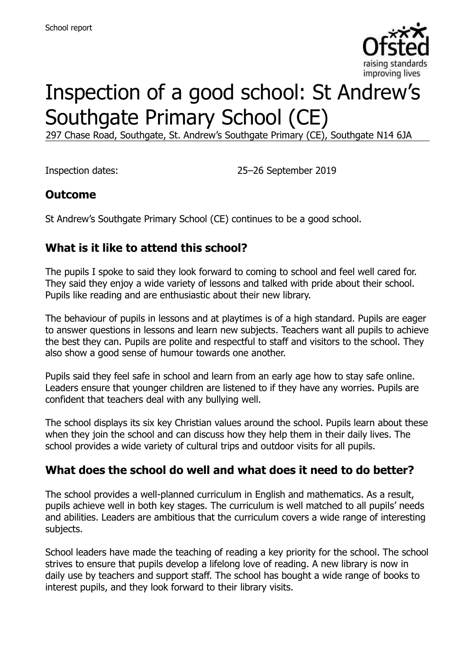

# Inspection of a good school: St Andrew's Southgate Primary School (CE)

297 Chase Road, Southgate, St. Andrew's Southgate Primary (CE), Southgate N14 6JA

Inspection dates: 25–26 September 2019

#### **Outcome**

St Andrew's Southgate Primary School (CE) continues to be a good school.

### **What is it like to attend this school?**

The pupils I spoke to said they look forward to coming to school and feel well cared for. They said they enjoy a wide variety of lessons and talked with pride about their school. Pupils like reading and are enthusiastic about their new library.

The behaviour of pupils in lessons and at playtimes is of a high standard. Pupils are eager to answer questions in lessons and learn new subjects. Teachers want all pupils to achieve the best they can. Pupils are polite and respectful to staff and visitors to the school. They also show a good sense of humour towards one another.

Pupils said they feel safe in school and learn from an early age how to stay safe online. Leaders ensure that younger children are listened to if they have any worries. Pupils are confident that teachers deal with any bullying well.

The school displays its six key Christian values around the school. Pupils learn about these when they join the school and can discuss how they help them in their daily lives. The school provides a wide variety of cultural trips and outdoor visits for all pupils.

#### **What does the school do well and what does it need to do better?**

The school provides a well-planned curriculum in English and mathematics. As a result, pupils achieve well in both key stages. The curriculum is well matched to all pupils' needs and abilities. Leaders are ambitious that the curriculum covers a wide range of interesting subjects.

School leaders have made the teaching of reading a key priority for the school. The school strives to ensure that pupils develop a lifelong love of reading. A new library is now in daily use by teachers and support staff. The school has bought a wide range of books to interest pupils, and they look forward to their library visits.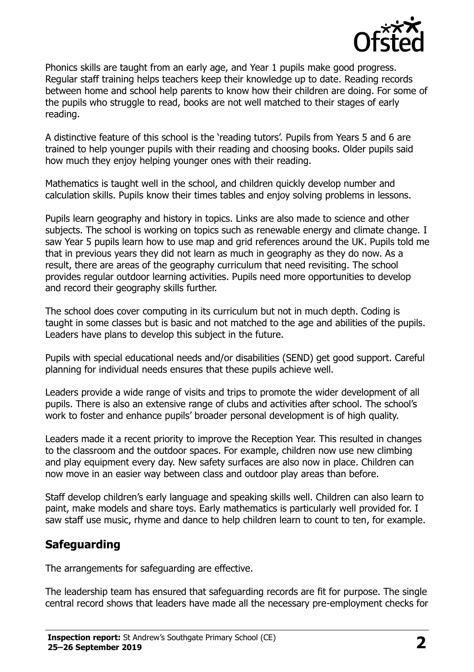

Phonics skills are taught from an early age, and Year 1 pupils make good progress. Regular staff training helps teachers keep their knowledge up to date. Reading records between home and school help parents to know how their children are doing. For some of the pupils who struggle to read, books are not well matched to their stages of early reading.

A distinctive feature of this school is the 'reading tutors'. Pupils from Years 5 and 6 are trained to help younger pupils with their reading and choosing books. Older pupils said how much they enjoy helping younger ones with their reading.

Mathematics is taught well in the school, and children quickly develop number and calculation skills. Pupils know their times tables and enjoy solving problems in lessons.

Pupils learn geography and history in topics. Links are also made to science and other subjects. The school is working on topics such as renewable energy and climate change. I saw Year 5 pupils learn how to use map and grid references around the UK. Pupils told me that in previous years they did not learn as much in geography as they do now. As a result, there are areas of the geography curriculum that need revisiting. The school provides regular outdoor learning activities. Pupils need more opportunities to develop and record their geography skills further.

The school does cover computing in its curriculum but not in much depth. Coding is taught in some classes but is basic and not matched to the age and abilities of the pupils. Leaders have plans to develop this subject in the future.

Pupils with special educational needs and/or disabilities (SEND) get good support. Careful planning for individual needs ensures that these pupils achieve well.

Leaders provide a wide range of visits and trips to promote the wider development of all pupils. There is also an extensive range of clubs and activities after school. The school's work to foster and enhance pupils' broader personal development is of high quality.

Leaders made it a recent priority to improve the Reception Year. This resulted in changes to the classroom and the outdoor spaces. For example, children now use new climbing and play equipment every day. New safety surfaces are also now in place. Children can now move in an easier way between class and outdoor play areas than before.

Staff develop children's early language and speaking skills well. Children can also learn to paint, make models and share toys. Early mathematics is particularly well provided for. I saw staff use music, rhyme and dance to help children learn to count to ten, for example.

# **Safeguarding**

The arrangements for safeguarding are effective.

The leadership team has ensured that safeguarding records are fit for purpose. The single central record shows that leaders have made all the necessary pre-employment checks for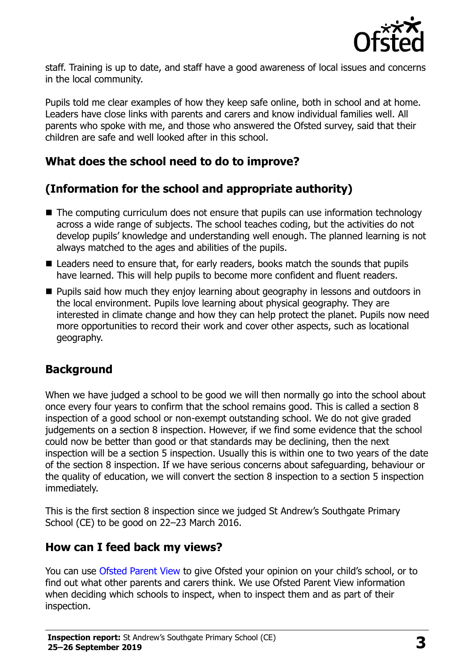

staff. Training is up to date, and staff have a good awareness of local issues and concerns in the local community.

Pupils told me clear examples of how they keep safe online, both in school and at home. Leaders have close links with parents and carers and know individual families well. All parents who spoke with me, and those who answered the Ofsted survey, said that their children are safe and well looked after in this school.

### **What does the school need to do to improve?**

# **(Information for the school and appropriate authority)**

- The computing curriculum does not ensure that pupils can use information technology across a wide range of subjects. The school teaches coding, but the activities do not develop pupils' knowledge and understanding well enough. The planned learning is not always matched to the ages and abilities of the pupils.
- Leaders need to ensure that, for early readers, books match the sounds that pupils have learned. This will help pupils to become more confident and fluent readers.
- Pupils said how much they enjoy learning about geography in lessons and outdoors in the local environment. Pupils love learning about physical geography. They are interested in climate change and how they can help protect the planet. Pupils now need more opportunities to record their work and cover other aspects, such as locational geography.

#### **Background**

When we have judged a school to be good we will then normally go into the school about once every four years to confirm that the school remains good. This is called a section 8 inspection of a good school or non-exempt outstanding school. We do not give graded judgements on a section 8 inspection. However, if we find some evidence that the school could now be better than good or that standards may be declining, then the next inspection will be a section 5 inspection. Usually this is within one to two years of the date of the section 8 inspection. If we have serious concerns about safeguarding, behaviour or the quality of education, we will convert the section 8 inspection to a section 5 inspection immediately.

This is the first section 8 inspection since we judged St Andrew's Southgate Primary School (CE) to be good on 22–23 March 2016.

#### **How can I feed back my views?**

You can use [Ofsted Parent View](https://parentview.ofsted.gov.uk/) to give Ofsted your opinion on your child's school, or to find out what other parents and carers think. We use Ofsted Parent View information when deciding which schools to inspect, when to inspect them and as part of their inspection.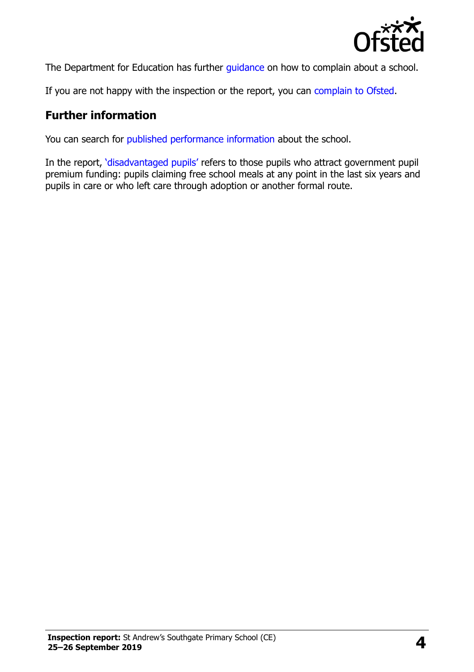

The Department for Education has further quidance on how to complain about a school.

If you are not happy with the inspection or the report, you can [complain to Ofsted.](https://www.gov.uk/complain-ofsted-report)

#### **Further information**

You can search for [published performance information](http://www.compare-school-performance.service.gov.uk/) about the school.

In the report, '[disadvantaged pupils](http://www.gov.uk/guidance/pupil-premium-information-for-schools-and-alternative-provision-settings)' refers to those pupils who attract government pupil premium funding: pupils claiming free school meals at any point in the last six years and pupils in care or who left care through adoption or another formal route.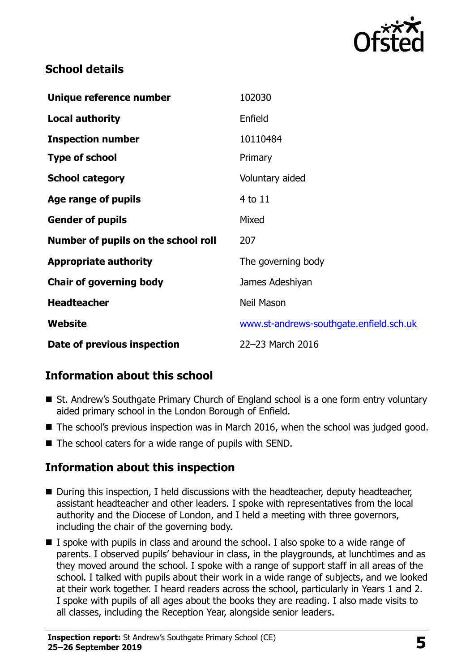

## **School details**

| Unique reference number             | 102030                                  |
|-------------------------------------|-----------------------------------------|
| <b>Local authority</b>              | Enfield                                 |
| <b>Inspection number</b>            | 10110484                                |
| <b>Type of school</b>               | Primary                                 |
| <b>School category</b>              | Voluntary aided                         |
| Age range of pupils                 | 4 to 11                                 |
| <b>Gender of pupils</b>             | Mixed                                   |
| Number of pupils on the school roll | 207                                     |
| <b>Appropriate authority</b>        | The governing body                      |
| <b>Chair of governing body</b>      | James Adeshiyan                         |
| <b>Headteacher</b>                  | Neil Mason                              |
| Website                             | www.st-andrews-southgate.enfield.sch.uk |
| Date of previous inspection         | 22-23 March 2016                        |

# **Information about this school**

- St. Andrew's Southgate Primary Church of England school is a one form entry voluntary aided primary school in the London Borough of Enfield.
- The school's previous inspection was in March 2016, when the school was judged good.
- The school caters for a wide range of pupils with SEND.

#### **Information about this inspection**

- During this inspection, I held discussions with the headteacher, deputy headteacher, assistant headteacher and other leaders. I spoke with representatives from the local authority and the Diocese of London, and I held a meeting with three governors, including the chair of the governing body.
- $\blacksquare$  I spoke with pupils in class and around the school. I also spoke to a wide range of parents. I observed pupils' behaviour in class, in the playgrounds, at lunchtimes and as they moved around the school. I spoke with a range of support staff in all areas of the school. I talked with pupils about their work in a wide range of subjects, and we looked at their work together. I heard readers across the school, particularly in Years 1 and 2. I spoke with pupils of all ages about the books they are reading. I also made visits to all classes, including the Reception Year, alongside senior leaders.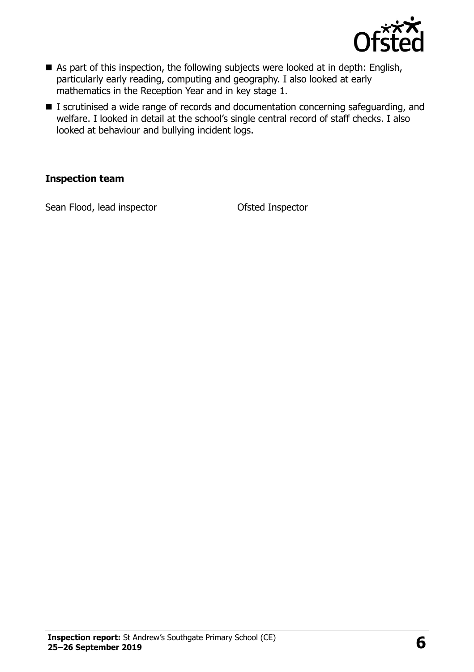

- As part of this inspection, the following subjects were looked at in depth: English, particularly early reading, computing and geography. I also looked at early mathematics in the Reception Year and in key stage 1.
- I scrutinised a wide range of records and documentation concerning safeguarding, and welfare. I looked in detail at the school's single central record of staff checks. I also looked at behaviour and bullying incident logs.

#### **Inspection team**

Sean Flood, lead inspector **CERC CONTER CONTER** Ofsted Inspector